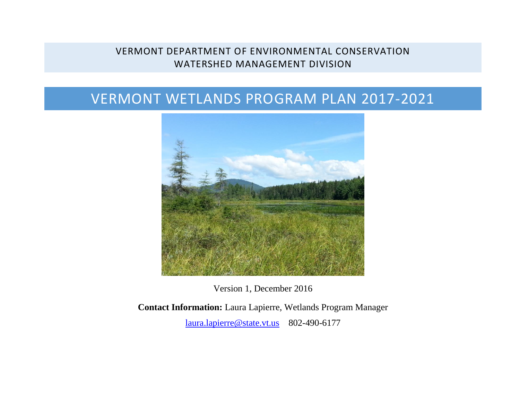# VERMONT DEPARTMENT OF ENVIRONMENTAL CONSERVATION WATERSHED MANAGEMENT DIVISION

# VERMONT WETLANDS PROGRAM PLAN 2017-2021



Version 1, December 2016

**Contact Information:** Laura Lapierre, Wetlands Program Manager [laura.lapierre@state.vt.us](mailto:alan.quackenbush@state.vt.us)802-490-6177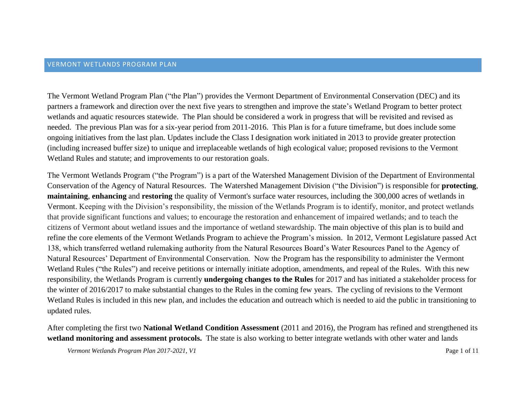The Vermont Wetland Program Plan ("the Plan") provides the Vermont Department of Environmental Conservation (DEC) and its partners a framework and direction over the next five years to strengthen and improve the state's Wetland Program to better protect wetlands and aquatic resources statewide. The Plan should be considered a work in progress that will be revisited and revised as needed. The previous Plan was for a six-year period from 2011-2016. This Plan is for a future timeframe, but does include some ongoing initiatives from the last plan. Updates include the Class I designation work initiated in 2013 to provide greater protection (including increased buffer size) to unique and irreplaceable wetlands of high ecological value; proposed revisions to the Vermont Wetland Rules and statute; and improvements to our restoration goals.

The Vermont Wetlands Program ("the Program") is a part of the Watershed Management Division of the Department of Environmental Conservation of the Agency of Natural Resources. The Watershed Management Division ("the Division") is responsible for **protecting**, **maintaining**, **enhancing** and **restoring** the quality of Vermont's surface water resources, including the 300,000 acres of wetlands in Vermont. Keeping with the Division's responsibility, the mission of the Wetlands Program is to identify, monitor, and protect wetlands that provide significant functions and values; to encourage the restoration and enhancement of impaired wetlands; and to teach the citizens of Vermont about wetland issues and the importance of wetland stewardship. The main objective of this plan is to build and refine the core elements of the Vermont Wetlands Program to achieve the Program's mission. In 2012, Vermont Legislature passed Act 138, which transferred wetland rulemaking authority from the Natural Resources Board's Water Resources Panel to the Agency of Natural Resources' Department of Environmental Conservation. Now the Program has the responsibility to administer the Vermont Wetland Rules ("the Rules") and receive petitions or internally initiate adoption, amendments, and repeal of the Rules. With this new responsibility, the Wetlands Program is currently **undergoing changes to the Rules** for 2017 and has initiated a stakeholder process for the winter of 2016/2017 to make substantial changes to the Rules in the coming few years. The cycling of revisions to the Vermont Wetland Rules is included in this new plan, and includes the education and outreach which is needed to aid the public in transitioning to updated rules.

After completing the first two **National Wetland Condition Assessment** (2011 and 2016), the Program has refined and strengthened its **wetland monitoring and assessment protocols.** The state is also working to better integrate wetlands with other water and lands

*Vermont Wetlands Program Plan 2017-2021, V1* Page 1 of 11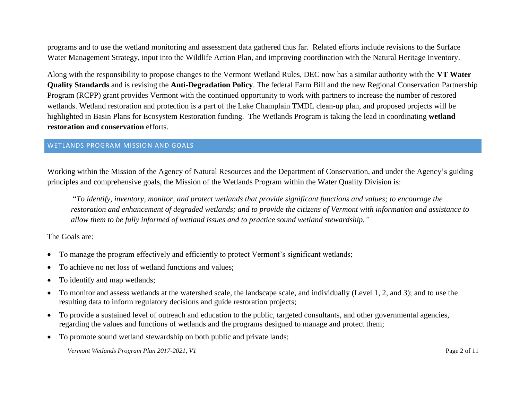programs and to use the wetland monitoring and assessment data gathered thus far. Related efforts include revisions to the Surface Water Management Strategy, input into the Wildlife Action Plan, and improving coordination with the Natural Heritage Inventory.

Along with the responsibility to propose changes to the Vermont Wetland Rules, DEC now has a similar authority with the **VT Water Quality Standards** and is revising the **Anti-Degradation Policy**. The federal Farm Bill and the new Regional Conservation Partnership Program (RCPP) grant provides Vermont with the continued opportunity to work with partners to increase the number of restored wetlands. Wetland restoration and protection is a part of the Lake Champlain TMDL clean-up plan, and proposed projects will be highlighted in Basin Plans for Ecosystem Restoration funding. The Wetlands Program is taking the lead in coordinating **wetland restoration and conservation** efforts.

#### WETLANDS PROGRAM MISSION AND GOALS

Working within the Mission of the Agency of Natural Resources and the Department of Conservation, and under the Agency's guiding principles and comprehensive goals, the Mission of the Wetlands Program within the Water Quality Division is:

"*To identify, inventory, monitor, and protect wetlands that provide significant functions and values; to encourage the restoration and enhancement of degraded wetlands; and to provide the citizens of Vermont with information and assistance to allow them to be fully informed of wetland issues and to practice sound wetland stewardship."*

The Goals are:

- To manage the program effectively and efficiently to protect Vermont's significant wetlands;
- To achieve no net loss of wetland functions and values;
- To identify and map wetlands;
- To monitor and assess wetlands at the watershed scale, the landscape scale, and individually (Level 1, 2, and 3); and to use the resulting data to inform regulatory decisions and guide restoration projects;
- To provide a sustained level of outreach and education to the public, targeted consultants, and other governmental agencies, regarding the values and functions of wetlands and the programs designed to manage and protect them;
- To promote sound wetland stewardship on both public and private lands;

*Vermont Wetlands Program Plan 2017-2021, V1* Page 2 of 11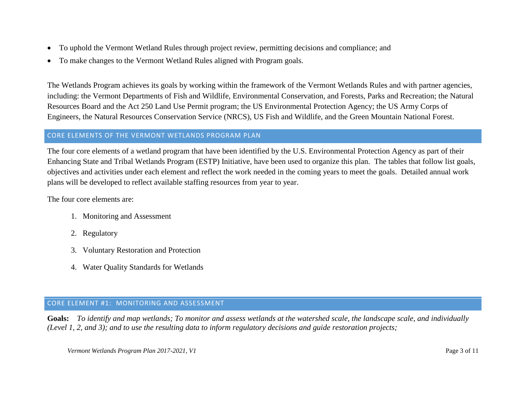- To uphold the Vermont Wetland Rules through project review, permitting decisions and compliance; and
- To make changes to the Vermont Wetland Rules aligned with Program goals.

The Wetlands Program achieves its goals by working within the framework of the Vermont Wetlands Rules and with partner agencies, including: the Vermont Departments of Fish and Wildlife, Environmental Conservation, and Forests, Parks and Recreation; the Natural Resources Board and the Act 250 Land Use Permit program; the US Environmental Protection Agency; the US Army Corps of Engineers, the Natural Resources Conservation Service (NRCS), US Fish and Wildlife, and the Green Mountain National Forest.

### CORE ELEMENTS OF THE VERMONT WETLANDS PROGRAM PLAN

The four core elements of a wetland program that have been identified by the U.S. Environmental Protection Agency as part of their Enhancing State and Tribal Wetlands Program (ESTP) Initiative, have been used to organize this plan. The tables that follow list goals, objectives and activities under each element and reflect the work needed in the coming years to meet the goals. Detailed annual work plans will be developed to reflect available staffing resources from year to year.

The four core elements are:

- 1. Monitoring and Assessment
- 2. Regulatory
- 3. Voluntary Restoration and Protection
- 4. Water Quality Standards for Wetlands

# CORE ELEMENT #1: MONITORING AND ASSESSMENT

**Goals:** *To identify and map wetlands; To monitor and assess wetlands at the watershed scale, the landscape scale, and individually (Level 1, 2, and 3); and to use the resulting data to inform regulatory decisions and guide restoration projects;*

*Vermont Wetlands Program Plan 2017-2021, V1* Page 3 of 11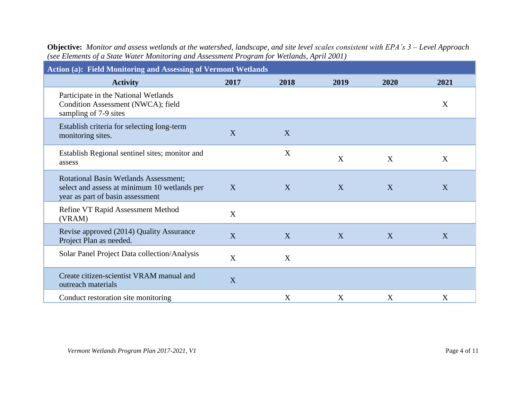| Action (a): Field Monitoring and Assessing of Vermont Wetlands                                                                   |      |      |      |      |      |  |
|----------------------------------------------------------------------------------------------------------------------------------|------|------|------|------|------|--|
| <b>Activity</b>                                                                                                                  | 2017 | 2018 | 2019 | 2020 | 2021 |  |
| Participate in the National Wetlands<br>Condition Assessment (NWCA); field<br>sampling of 7-9 sites                              |      |      |      |      | X    |  |
| Establish criteria for selecting long-term<br>monitoring sites.                                                                  | X    | X    |      |      |      |  |
| Establish Regional sentinel sites; monitor and<br>assess                                                                         |      | X    | X    | X    | X    |  |
| <b>Rotational Basin Wetlands Assessment;</b><br>select and assess at minimum 10 wetlands per<br>year as part of basin assessment | X    | X    | X    | X    | X    |  |
| Refine VT Rapid Assessment Method<br>(VRAM)                                                                                      | X    |      |      |      |      |  |
| Revise approved (2014) Quality Assurance<br>Project Plan as needed.                                                              | X    | X    | X    | X    | X    |  |
| Solar Panel Project Data collection/Analysis                                                                                     | X    | X    |      |      |      |  |
| Create citizen-scientist VRAM manual and<br>outreach materials                                                                   | X    |      |      |      |      |  |
| Conduct restoration site monitoring                                                                                              |      | X    | X    | X    | X    |  |

**Objective:** *Monitor and assess wetlands at the watershed, landscape, and site level scales consistent with EPA's 3 – Level Approach (see Elements of a State Water Monitoring and Assessment Program for Wetlands, April 2001)*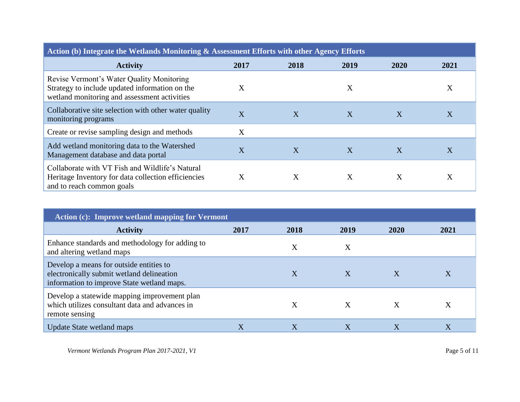| Action (b) Integrate the Wetlands Monitoring & Assessment Efforts with other Agency Efforts                                                 |      |      |      |      |      |
|---------------------------------------------------------------------------------------------------------------------------------------------|------|------|------|------|------|
| <b>Activity</b>                                                                                                                             | 2017 | 2018 | 2019 | 2020 | 2021 |
| Revise Vermont's Water Quality Monitoring<br>Strategy to include updated information on the<br>wetland monitoring and assessment activities | X    |      | X    |      | X    |
| Collaborative site selection with other water quality<br>monitoring programs                                                                | X    | X    | X    | X    | X    |
| Create or revise sampling design and methods                                                                                                | X    |      |      |      |      |
| Add wetland monitoring data to the Watershed<br>Management database and data portal                                                         | X    | X    | X    | X    | X    |
| Collaborate with VT Fish and Wildlife's Natural<br>Heritage Inventory for data collection efficiencies<br>and to reach common goals         | X    | X    | X    | X    | X    |

| Action (c): Improve wetland mapping for Vermont                                                                                    |         |      |                  |              |      |
|------------------------------------------------------------------------------------------------------------------------------------|---------|------|------------------|--------------|------|
| <b>Activity</b>                                                                                                                    | 2017    | 2018 | 2019             | 2020         | 2021 |
| Enhance standards and methodology for adding to<br>and altering wetland maps                                                       |         | X    | X                |              |      |
| Develop a means for outside entities to<br>electronically submit wetland delineation<br>information to improve State wetland maps. |         |      | $\boldsymbol{X}$ | $\mathbf{X}$ |      |
| Develop a statewide mapping improvement plan<br>which utilizes consultant data and advances in<br>remote sensing                   |         |      | X                | $\mathbf{X}$ | X    |
| <b>Update State wetland maps</b>                                                                                                   | $\rm X$ | X    | Χ                | X            | X    |

*Vermont Wetlands Program Plan 2017-2021, V1*  $\blacksquare$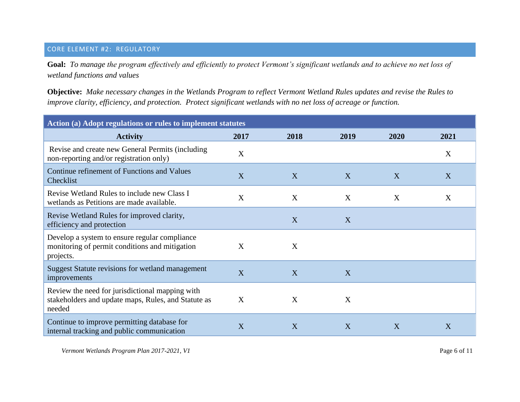# CORE ELEMENT #2: REGULATORY

**Goal:** *To manage the program effectively and efficiently to protect Vermont's significant wetlands and to achieve no net loss of wetland functions and values* 

**Objective:** *Make necessary changes in the Wetlands Program to reflect Vermont Wetland Rules updates and revise the Rules to improve clarity, efficiency, and protection. Protect significant wetlands with no net loss of acreage or function.*

| Action (a) Adopt regulations or rules to implement statutes                                                      |      |      |      |      |      |
|------------------------------------------------------------------------------------------------------------------|------|------|------|------|------|
| <b>Activity</b>                                                                                                  | 2017 | 2018 | 2019 | 2020 | 2021 |
| Revise and create new General Permits (including<br>non-reporting and/or registration only)                      | X    |      |      |      | X    |
| Continue refinement of Functions and Values<br>Checklist                                                         | X    | X    | X    | X    | X    |
| Revise Wetland Rules to include new Class I<br>wetlands as Petitions are made available.                         | X    | X    | X    | X    | X    |
| Revise Wetland Rules for improved clarity,<br>efficiency and protection                                          |      | X    | X    |      |      |
| Develop a system to ensure regular compliance<br>monitoring of permit conditions and mitigation<br>projects.     | X    | X    |      |      |      |
| Suggest Statute revisions for wetland management<br>improvements                                                 | X    | X    | X    |      |      |
| Review the need for jurisdictional mapping with<br>stakeholders and update maps, Rules, and Statute as<br>needed | X    | X    | X    |      |      |
| Continue to improve permitting database for<br>internal tracking and public communication                        | X    | X    | X    | X    | X    |

*Vermont Wetlands Program Plan 2017-2021, V1* Page 6 of 11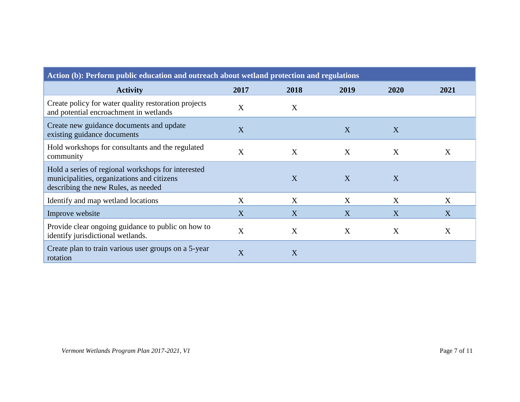| Action (b): Perform public education and outreach about wetland protection and regulations                                              |      |      |      |      |      |
|-----------------------------------------------------------------------------------------------------------------------------------------|------|------|------|------|------|
| <b>Activity</b>                                                                                                                         | 2017 | 2018 | 2019 | 2020 | 2021 |
| Create policy for water quality restoration projects<br>and potential encroachment in wetlands                                          | X    | X    |      |      |      |
| Create new guidance documents and update<br>existing guidance documents                                                                 | X    |      | X    | X    |      |
| Hold workshops for consultants and the regulated<br>community                                                                           | X    | X    | X    | X    | X    |
| Hold a series of regional workshops for interested<br>municipalities, organizations and citizens<br>describing the new Rules, as needed |      | X    | X    | X    |      |
| Identify and map wetland locations                                                                                                      | X    | X    | X    | X    | X    |
| Improve website                                                                                                                         | X    | X    | X    | X    | X    |
| Provide clear ongoing guidance to public on how to<br>identify jurisdictional wetlands.                                                 | X    | X    | X    | X    | X    |
| Create plan to train various user groups on a 5-year<br>rotation                                                                        | X    | X    |      |      |      |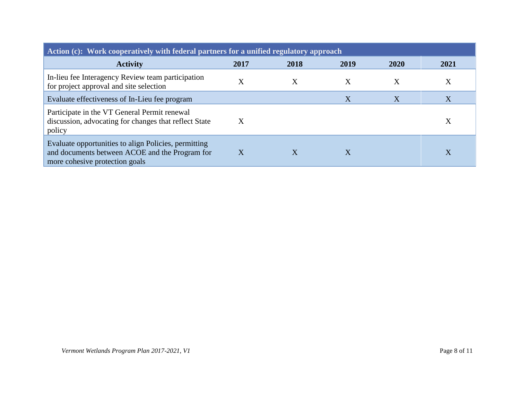| Action (c): Work cooperatively with federal partners for a unified regulatory approach                                                   |         |      |      |      |      |
|------------------------------------------------------------------------------------------------------------------------------------------|---------|------|------|------|------|
| <b>Activity</b>                                                                                                                          | 2017    | 2018 | 2019 | 2020 | 2021 |
| In-lieu fee Interagency Review team participation<br>for project approval and site selection                                             | $\rm X$ | X    | X    | Χ    | X    |
| Evaluate effectiveness of In-Lieu fee program                                                                                            |         |      | X    | X    | X    |
| Participate in the VT General Permit renewal<br>discussion, advocating for changes that reflect State<br>policy                          | X       |      |      |      | X    |
| Evaluate opportunities to align Policies, permitting<br>and documents between ACOE and the Program for<br>more cohesive protection goals | X       | Χ    | Χ    |      | X    |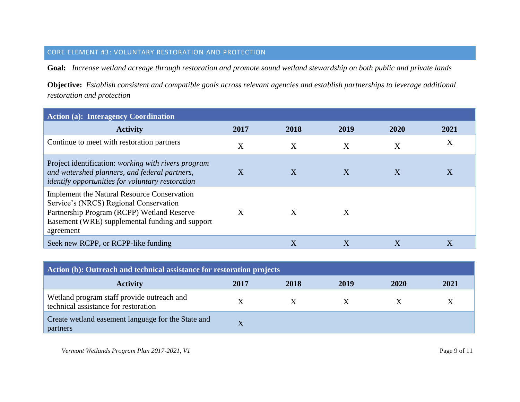#### CORE ELEMENT #3: VOLUNTARY RESTORATION AND PROTECTION

**Goal:** *Increase wetland acreage through restoration and promote sound wetland stewardship on both public and private lands* 

**Objective:** *Establish consistent and compatible goals across relevant agencies and establish partnerships to leverage additional restoration and protection*

| <b>Action (a): Interagency Coordination</b>                                                                                                                                                                |      |      |      |                           |      |
|------------------------------------------------------------------------------------------------------------------------------------------------------------------------------------------------------------|------|------|------|---------------------------|------|
| <b>Activity</b>                                                                                                                                                                                            | 2017 | 2018 | 2019 | 2020                      | 2021 |
| Continue to meet with restoration partners                                                                                                                                                                 | X    | X    | X    | X                         | X    |
| Project identification: working with rivers program<br>and watershed planners, and federal partners,<br><i>identify opportunities for voluntary restoration</i>                                            | X    | X    | X    | $\boldsymbol{\mathrm{X}}$ | Χ    |
| <b>Implement the Natural Resource Conservation</b><br>Service's (NRCS) Regional Conservation<br>Partnership Program (RCPP) Wetland Reserve<br>Easement (WRE) supplemental funding and support<br>agreement | X    | X    | X    |                           |      |
| Seek new RCPP, or RCPP-like funding                                                                                                                                                                        |      | X    | X    | Χ                         | X    |

| Action (b): Outreach and technical assistance for restoration projects             |      |      |      |      |      |
|------------------------------------------------------------------------------------|------|------|------|------|------|
| <b>Activity</b>                                                                    | 2017 | 2018 | 2019 | 2020 | 2021 |
| Wetland program staff provide outreach and<br>technical assistance for restoration |      |      |      |      |      |
| Create wetland easement language for the State and<br>partners                     | X    |      |      |      |      |

*Vermont Wetlands Program Plan 2017-2021, V1* Page 9 of 11